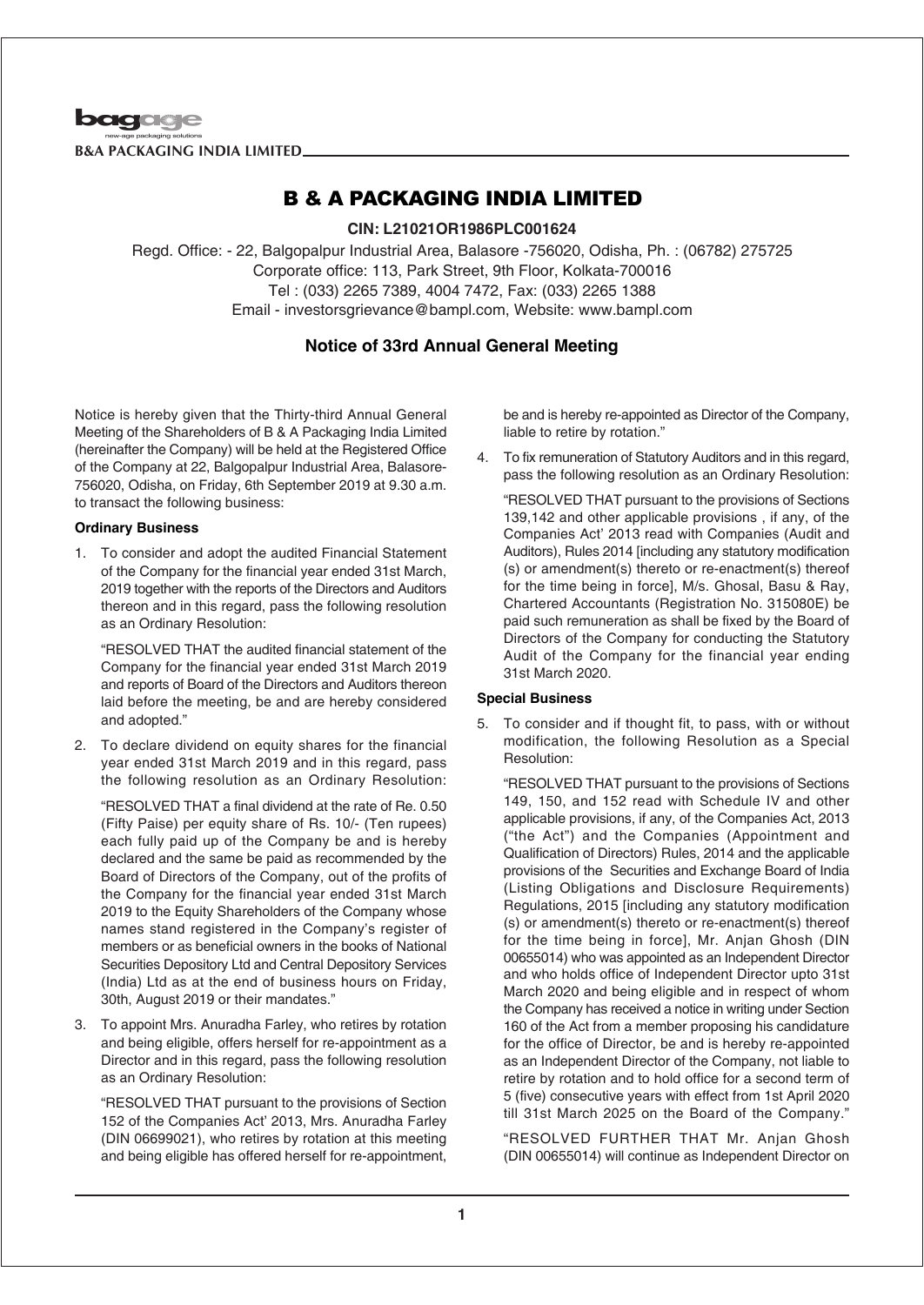

## **CIN: L21021OR1986PLC001624**

Regd. Office: - 22, Balgopalpur Industrial Area, Balasore -756020, Odisha, Ph. : (06782) 275725 Corporate office: 113, Park Street, 9th Floor, Kolkata-700016 Tel : (033) 2265 7389, 4004 7472, Fax: (033) 2265 1388 Email - investorsgrievance@bampl.com, Website: www.bampl.com

## **Notice of 33rd Annual General Meeting**

Notice is hereby given that the Thirty-third Annual General Meeting of the Shareholders of B & A Packaging India Limited (hereinafter the Company) will be held at the Registered Office of the Company at 22, Balgopalpur Industrial Area, Balasore-756020, Odisha, on Friday, 6th September 2019 at 9.30 a.m. to transact the following business:

### **Ordinary Business**

1. To consider and adopt the audited Financial Statement of the Company for the financial year ended 31st March, 2019 together with the reports of the Directors and Auditors thereon and in this regard, pass the following resolution as an Ordinary Resolution:

"RESOLVED THAT the audited financial statement of the Company for the financial year ended 31st March 2019 and reports of Board of the Directors and Auditors thereon laid before the meeting, be and are hereby considered and adopted."

2. To declare dividend on equity shares for the financial year ended 31st March 2019 and in this regard, pass the following resolution as an Ordinary Resolution:

"RESOLVED THAT a final dividend at the rate of Re. 0.50 (Fifty Paise) per equity share of Rs. 10/- (Ten rupees) each fully paid up of the Company be and is hereby declared and the same be paid as recommended by the Board of Directors of the Company, out of the profits of the Company for the financial year ended 31st March 2019 to the Equity Shareholders of the Company whose names stand registered in the Company's register of members or as beneficial owners in the books of National Securities Depository Ltd and Central Depository Services (India) Ltd as at the end of business hours on Friday, 30th, August 2019 or their mandates."

3. To appoint Mrs. Anuradha Farley, who retires by rotation and being eligible, offers herself for re-appointment as a Director and in this regard, pass the following resolution as an Ordinary Resolution:

"RESOLVED THAT pursuant to the provisions of Section 152 of the Companies Act' 2013, Mrs. Anuradha Farley (DIN 06699021), who retires by rotation at this meeting and being eligible has offered herself for re-appointment,

be and is hereby re-appointed as Director of the Company, liable to retire by rotation."

4. To fix remuneration of Statutory Auditors and in this regard, pass the following resolution as an Ordinary Resolution:

"RESOLVED THAT pursuant to the provisions of Sections 139,142 and other applicable provisions , if any, of the Companies Act' 2013 read with Companies (Audit and Auditors), Rules 2014 [including any statutory modification (s) or amendment(s) thereto or re-enactment(s) thereof for the time being in force], M/s. Ghosal, Basu & Ray, Chartered Accountants (Registration No. 315080E) be paid such remuneration as shall be fixed by the Board of Directors of the Company for conducting the Statutory Audit of the Company for the financial year ending 31st March 2020.

### **Special Business**

5. To consider and if thought fit, to pass, with or without modification, the following Resolution as a Special Resolution:

"RESOLVED THAT pursuant to the provisions of Sections 149, 150, and 152 read with Schedule IV and other applicable provisions, if any, of the Companies Act, 2013 ("the Act") and the Companies (Appointment and Qualification of Directors) Rules, 2014 and the applicable provisions of the Securities and Exchange Board of India (Listing Obligations and Disclosure Requirements) Regulations, 2015 [including any statutory modification (s) or amendment(s) thereto or re-enactment(s) thereof for the time being in force], Mr. Anjan Ghosh (DIN 00655014) who was appointed as an Independent Director and who holds office of Independent Director upto 31st March 2020 and being eligible and in respect of whom the Company has received a notice in writing under Section 160 of the Act from a member proposing his candidature for the office of Director, be and is hereby re-appointed as an Independent Director of the Company, not liable to retire by rotation and to hold office for a second term of 5 (five) consecutive years with effect from 1st April 2020 till 31st March 2025 on the Board of the Company."

"RESOLVED FURTHER THAT Mr. Anjan Ghosh (DIN 00655014) will continue as Independent Director on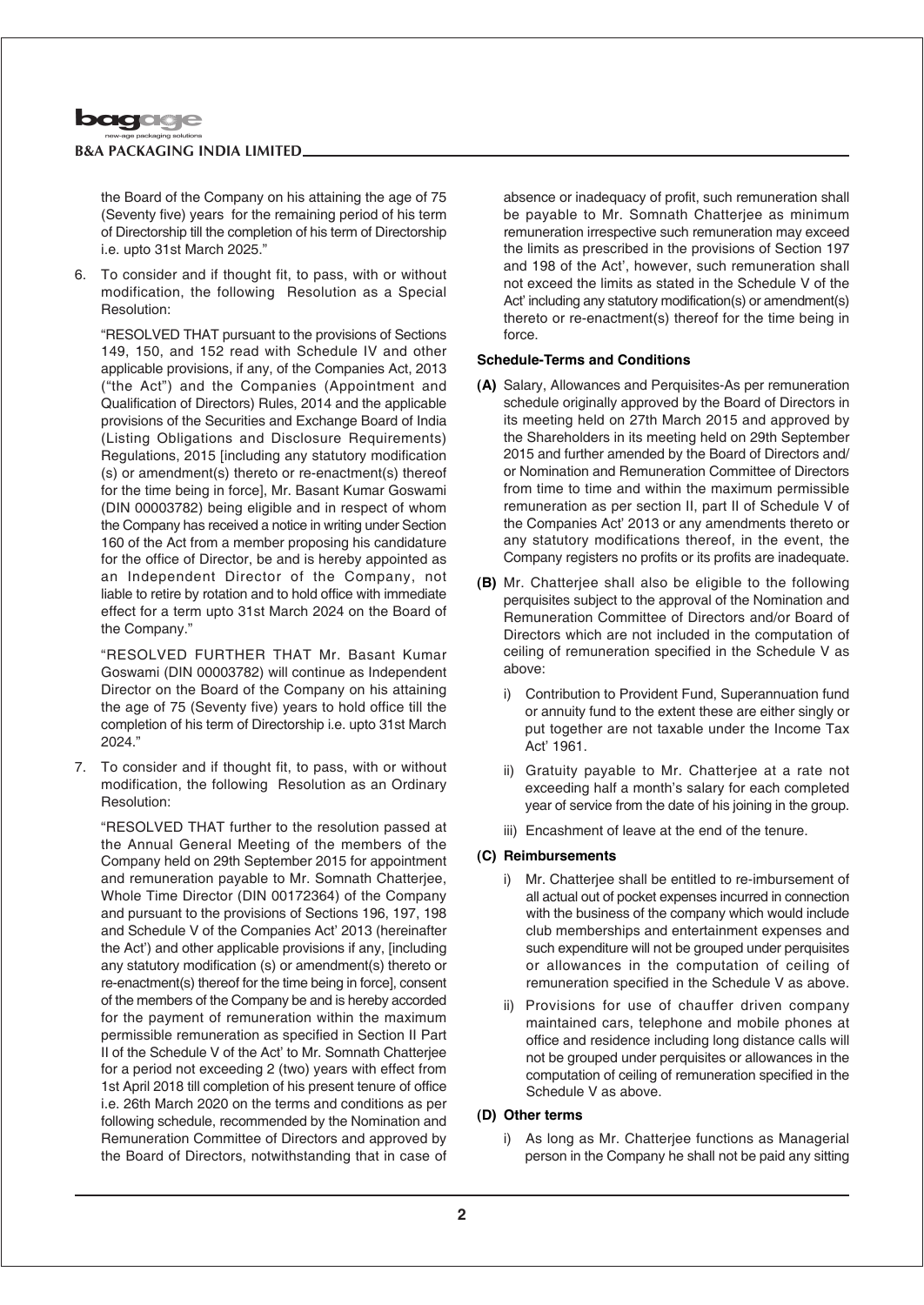

the Board of the Company on his attaining the age of 75 (Seventy five) years for the remaining period of his term of Directorship till the completion of his term of Directorship i.e. upto 31st March 2025."

6. To consider and if thought fit, to pass, with or without modification, the following Resolution as a Special Resolution:

"RESOLVED THAT pursuant to the provisions of Sections 149, 150, and 152 read with Schedule IV and other applicable provisions, if any, of the Companies Act, 2013 ("the Act") and the Companies (Appointment and Qualification of Directors) Rules, 2014 and the applicable provisions of the Securities and Exchange Board of India (Listing Obligations and Disclosure Requirements) Regulations, 2015 [including any statutory modification (s) or amendment(s) thereto or re-enactment(s) thereof for the time being in force], Mr. Basant Kumar Goswami (DIN 00003782) being eligible and in respect of whom the Company has received a notice in writing under Section 160 of the Act from a member proposing his candidature for the office of Director, be and is hereby appointed as an Independent Director of the Company, not liable to retire by rotation and to hold office with immediate effect for a term upto 31st March 2024 on the Board of the Company."

"RESOLVED FURTHER THAT Mr. Basant Kumar Goswami (DIN 00003782) will continue as Independent Director on the Board of the Company on his attaining the age of 75 (Seventy five) years to hold office till the completion of his term of Directorship i.e. upto 31st March 2024."

7. To consider and if thought fit, to pass, with or without modification, the following Resolution as an Ordinary Resolution:

"RESOLVED THAT further to the resolution passed at the Annual General Meeting of the members of the Company held on 29th September 2015 for appointment and remuneration payable to Mr. Somnath Chatterjee, Whole Time Director (DIN 00172364) of the Company and pursuant to the provisions of Sections 196, 197, 198 and Schedule V of the Companies Act' 2013 (hereinafter the Act') and other applicable provisions if any, [including any statutory modification (s) or amendment(s) thereto or re-enactment(s) thereof for the time being in force], consent of the members of the Company be and is hereby accorded for the payment of remuneration within the maximum permissible remuneration as specified in Section II Part II of the Schedule V of the Act' to Mr. Somnath Chatterjee for a period not exceeding 2 (two) years with effect from 1st April 2018 till completion of his present tenure of office i.e. 26th March 2020 on the terms and conditions as per following schedule, recommended by the Nomination and Remuneration Committee of Directors and approved by the Board of Directors, notwithstanding that in case of

absence or inadequacy of profit, such remuneration shall be payable to Mr. Somnath Chatterjee as minimum remuneration irrespective such remuneration may exceed the limits as prescribed in the provisions of Section 197 and 198 of the Act', however, such remuneration shall not exceed the limits as stated in the Schedule V of the Act' including any statutory modification(s) or amendment(s) thereto or re-enactment(s) thereof for the time being in force.

### **Schedule-Terms and Conditions**

- **(A)** Salary, Allowances and Perquisites-As per remuneration schedule originally approved by the Board of Directors in its meeting held on 27th March 2015 and approved by the Shareholders in its meeting held on 29th September 2015 and further amended by the Board of Directors and/ or Nomination and Remuneration Committee of Directors from time to time and within the maximum permissible remuneration as per section II, part II of Schedule V of the Companies Act' 2013 or any amendments thereto or any statutory modifications thereof, in the event, the Company registers no profits or its profits are inadequate.
- **(B)** Mr. Chatterjee shall also be eligible to the following perquisites subject to the approval of the Nomination and Remuneration Committee of Directors and/or Board of Directors which are not included in the computation of ceiling of remuneration specified in the Schedule V as above:
	- i) Contribution to Provident Fund, Superannuation fund or annuity fund to the extent these are either singly or put together are not taxable under the Income Tax Act' 1961.
	- ii) Gratuity payable to Mr. Chatterjee at a rate not exceeding half a month's salary for each completed year of service from the date of his joining in the group.
	- iii) Encashment of leave at the end of the tenure.

### **(C) Reimbursements**

- i) Mr. Chatterjee shall be entitled to re-imbursement of all actual out of pocket expenses incurred in connection with the business of the company which would include club memberships and entertainment expenses and such expenditure will not be grouped under perquisites or allowances in the computation of ceiling of remuneration specified in the Schedule V as above.
- ii) Provisions for use of chauffer driven company maintained cars, telephone and mobile phones at office and residence including long distance calls will not be grouped under perquisites or allowances in the computation of ceiling of remuneration specified in the Schedule V as above.

### **(D) Other terms**

i) As long as Mr. Chatterjee functions as Managerial person in the Company he shall not be paid any sitting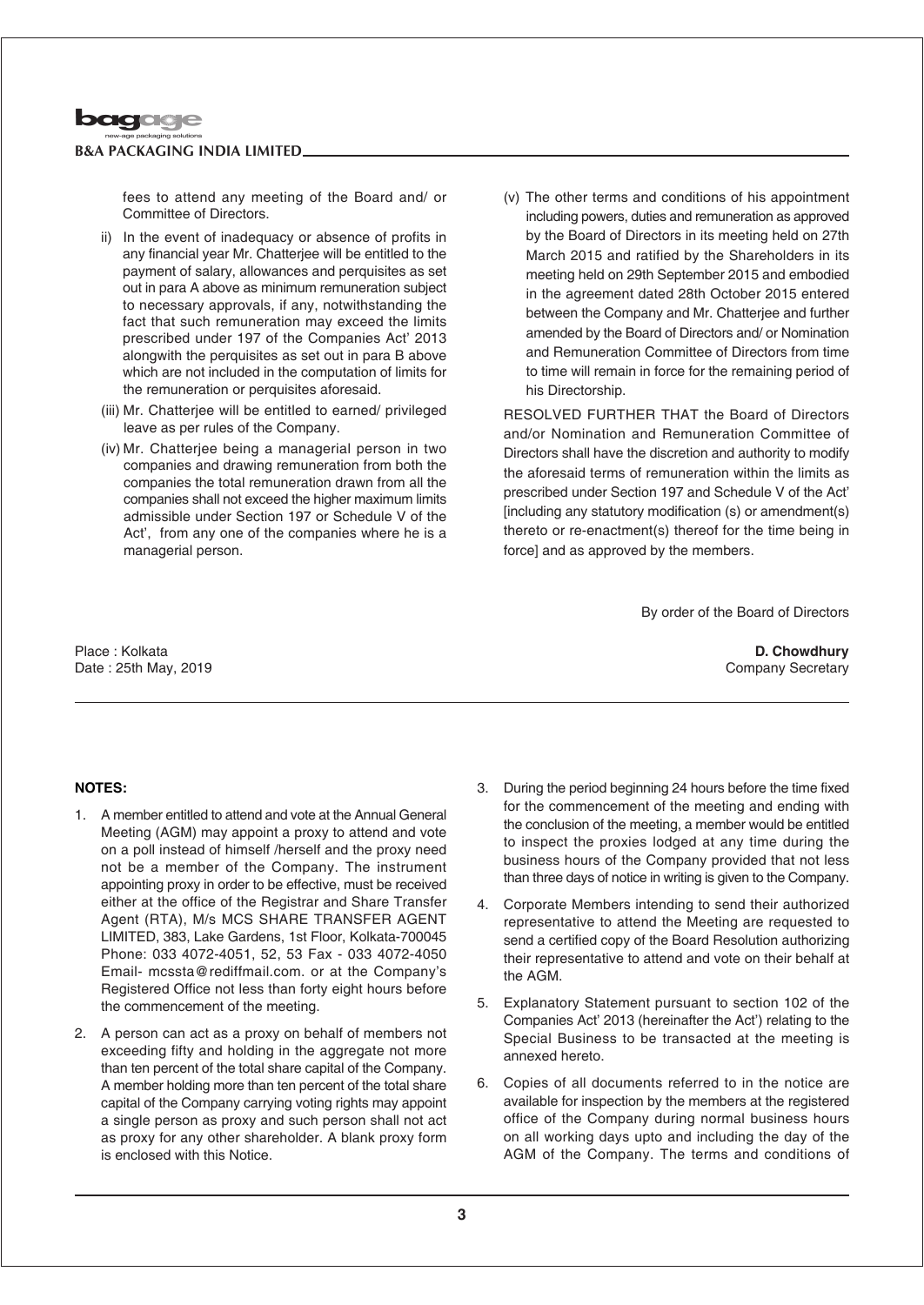

fees to attend any meeting of the Board and/ or Committee of Directors.

- ii) In the event of inadequacy or absence of profits in any financial year Mr. Chatterjee will be entitled to the payment of salary, allowances and perquisites as set out in para A above as minimum remuneration subject to necessary approvals, if any, notwithstanding the fact that such remuneration may exceed the limits prescribed under 197 of the Companies Act' 2013 alongwith the perquisites as set out in para B above which are not included in the computation of limits for the remuneration or perquisites aforesaid.
- (iii) Mr. Chatterjee will be entitled to earned/ privileged leave as per rules of the Company.
- (iv) Mr. Chatterjee being a managerial person in two companies and drawing remuneration from both the companies the total remuneration drawn from all the companies shall not exceed the higher maximum limits admissible under Section 197 or Schedule V of the Act', from any one of the companies where he is a managerial person.
- (v) The other terms and conditions of his appointment including powers, duties and remuneration as approved by the Board of Directors in its meeting held on 27th March 2015 and ratified by the Shareholders in its meeting held on 29th September 2015 and embodied in the agreement dated 28th October 2015 entered between the Company and Mr. Chatterjee and further amended by the Board of Directors and/ or Nomination and Remuneration Committee of Directors from time to time will remain in force for the remaining period of his Directorship.

RESOLVED FURTHER THAT the Board of Directors and/or Nomination and Remuneration Committee of Directors shall have the discretion and authority to modify the aforesaid terms of remuneration within the limits as prescribed under Section 197 and Schedule V of the Act' [including any statutory modification (s) or amendment(s) thereto or re-enactment(s) thereof for the time being in force] and as approved by the members.

By order of the Board of Directors

Place : Kolkata Date : 25th May, 2019

### **D. Chowdhury** Company Secretary

## **NOTES:**

- 1. A member entitled to attend and vote at the Annual General Meeting (AGM) may appoint a proxy to attend and vote on a poll instead of himself /herself and the proxy need not be a member of the Company. The instrument appointing proxy in order to be effective, must be received either at the office of the Registrar and Share Transfer Agent (RTA), M/s MCS SHARE TRANSFER AGENT LIMITED, 383, Lake Gardens, 1st Floor, Kolkata-700045 Phone: 033 4072-4051, 52, 53 Fax - 033 4072-4050 Email- mcssta@rediffmail.com. or at the Company's Registered Office not less than forty eight hours before the commencement of the meeting.
- 2. A person can act as a proxy on behalf of members not exceeding fifty and holding in the aggregate not more than ten percent of the total share capital of the Company. A member holding more than ten percent of the total share capital of the Company carrying voting rights may appoint a single person as proxy and such person shall not act as proxy for any other shareholder. A blank proxy form is enclosed with this Notice.
- 3. During the period beginning 24 hours before the time fixed for the commencement of the meeting and ending with the conclusion of the meeting, a member would be entitled to inspect the proxies lodged at any time during the business hours of the Company provided that not less than three days of notice in writing is given to the Company.
- 4. Corporate Members intending to send their authorized representative to attend the Meeting are requested to send a certified copy of the Board Resolution authorizing their representative to attend and vote on their behalf at the AGM.
- 5. Explanatory Statement pursuant to section 102 of the Companies Act' 2013 (hereinafter the Act') relating to the Special Business to be transacted at the meeting is annexed hereto.
- 6. Copies of all documents referred to in the notice are available for inspection by the members at the registered office of the Company during normal business hours on all working days upto and including the day of the AGM of the Company. The terms and conditions of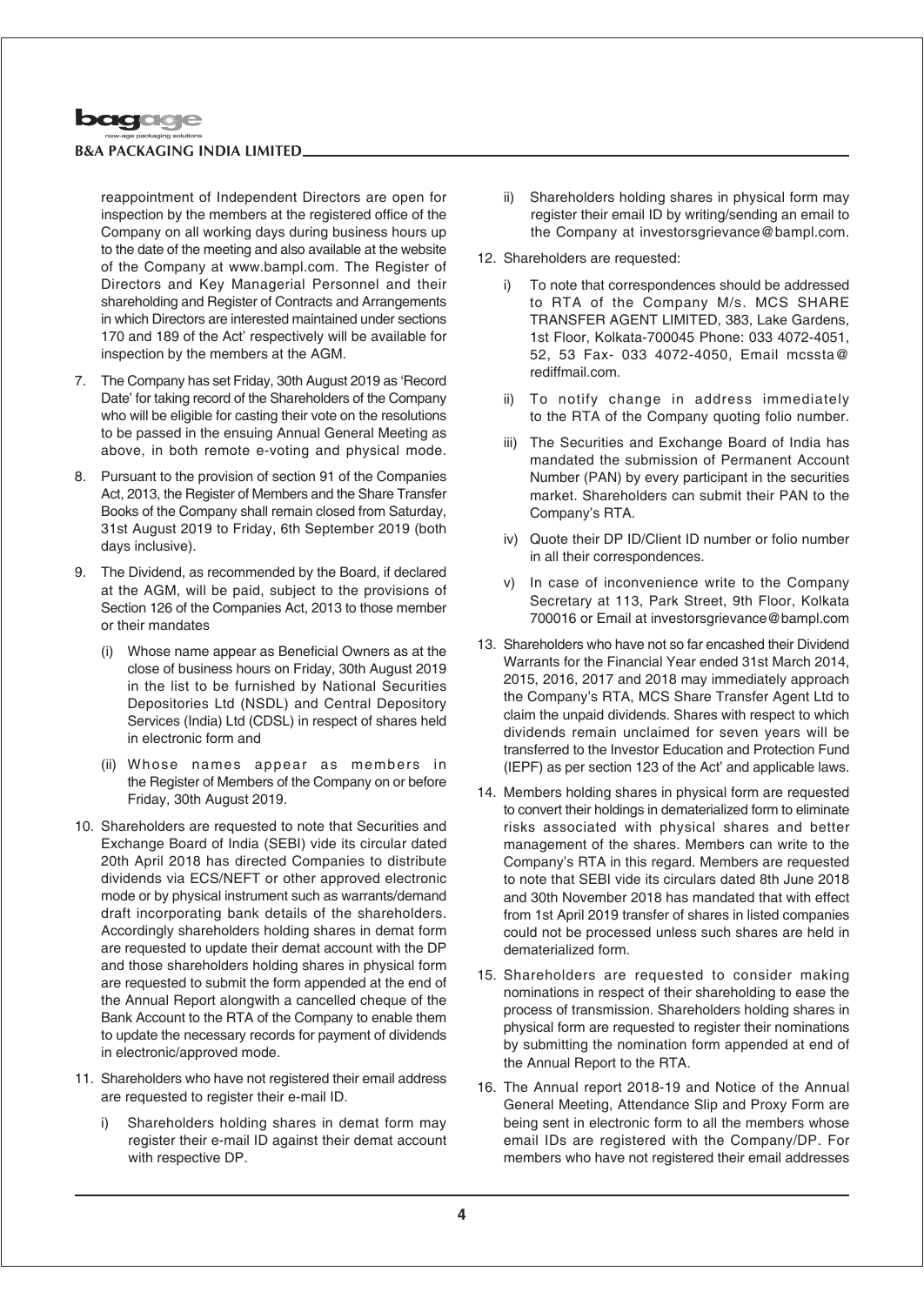

reappointment of Independent Directors are open for inspection by the members at the registered office of the Company on all working days during business hours up to the date of the meeting and also available at the website of the Company at www.bampl.com. The Register of Directors and Key Managerial Personnel and their shareholding and Register of Contracts and Arrangements in which Directors are interested maintained under sections 170 and 189 of the Act' respectively will be available for inspection by the members at the AGM.

- 7. The Company has set Friday, 30th August 2019 as 'Record Date' for taking record of the Shareholders of the Company who will be eligible for casting their vote on the resolutions to be passed in the ensuing Annual General Meeting as above, in both remote e-voting and physical mode.
- 8. Pursuant to the provision of section 91 of the Companies Act, 2013, the Register of Members and the Share Transfer Books of the Company shall remain closed from Saturday, 31st August 2019 to Friday, 6th September 2019 (both days inclusive).
- 9. The Dividend, as recommended by the Board, if declared at the AGM, will be paid, subject to the provisions of Section 126 of the Companies Act, 2013 to those member or their mandates
	- (i) Whose name appear as Beneficial Owners as at the close of business hours on Friday, 30th August 2019 in the list to be furnished by National Securities Depositories Ltd (NSDL) and Central Depository Services (India) Ltd (CDSL) in respect of shares held in electronic form and
	- (ii) Whose names appear as members in the Register of Members of the Company on or before Friday, 30th August 2019.
- 10. Shareholders are requested to note that Securities and Exchange Board of India (SEBI) vide its circular dated 20th April 2018 has directed Companies to distribute dividends via ECS/NEFT or other approved electronic mode or by physical instrument such as warrants/demand draft incorporating bank details of the shareholders. Accordingly shareholders holding shares in demat form are requested to update their demat account with the DP and those shareholders holding shares in physical form are requested to submit the form appended at the end of the Annual Report alongwith a cancelled cheque of the Bank Account to the RTA of the Company to enable them to update the necessary records for payment of dividends in electronic/approved mode.
- 11. Shareholders who have not registered their email address are requested to register their e-mail ID.
	- i) Shareholders holding shares in demat form may register their e-mail ID against their demat account with respective DP.
- ii) Shareholders holding shares in physical form may register their email ID by writing/sending an email to the Company at investorsgrievance@bampl.com.
- 12. Shareholders are requested:
	- i) To note that correspondences should be addressed to RTA of the Company M/s. MCS SHARE TRANSFER AGENT LIMITED, 383, Lake Gardens, 1st Floor, Kolkata-700045 Phone: 033 4072-4051, 52, 53 Fax- 033 4072-4050, Email mcssta@ rediffmail.com.
	- ii) To notify change in address immediately to the RTA of the Company quoting folio number.
	- iii) The Securities and Exchange Board of India has mandated the submission of Permanent Account Number (PAN) by every participant in the securities market. Shareholders can submit their PAN to the Company's RTA.
	- iv) Quote their DP ID/Client ID number or folio number in all their correspondences.
	- v) In case of inconvenience write to the Company Secretary at 113, Park Street, 9th Floor, Kolkata 700016 or Email at investorsgrievance@bampl.com
- 13. Shareholders who have not so far encashed their Dividend Warrants for the Financial Year ended 31st March 2014, 2015, 2016, 2017 and 2018 may immediately approach the Company's RTA, MCS Share Transfer Agent Ltd to claim the unpaid dividends. Shares with respect to which dividends remain unclaimed for seven years will be transferred to the Investor Education and Protection Fund (IEPF) as per section 123 of the Act' and applicable laws.
- 14. Members holding shares in physical form are requested to convert their holdings in dematerialized form to eliminate risks associated with physical shares and better management of the shares. Members can write to the Company's RTA in this regard. Members are requested to note that SEBI vide its circulars dated 8th June 2018 and 30th November 2018 has mandated that with effect from 1st April 2019 transfer of shares in listed companies could not be processed unless such shares are held in dematerialized form.
- 15. Shareholders are requested to consider making nominations in respect of their shareholding to ease the process of transmission. Shareholders holding shares in physical form are requested to register their nominations by submitting the nomination form appended at end of the Annual Report to the RTA.
- 16. The Annual report 2018-19 and Notice of the Annual General Meeting, Attendance Slip and Proxy Form are being sent in electronic form to all the members whose email IDs are registered with the Company/DP. For members who have not registered their email addresses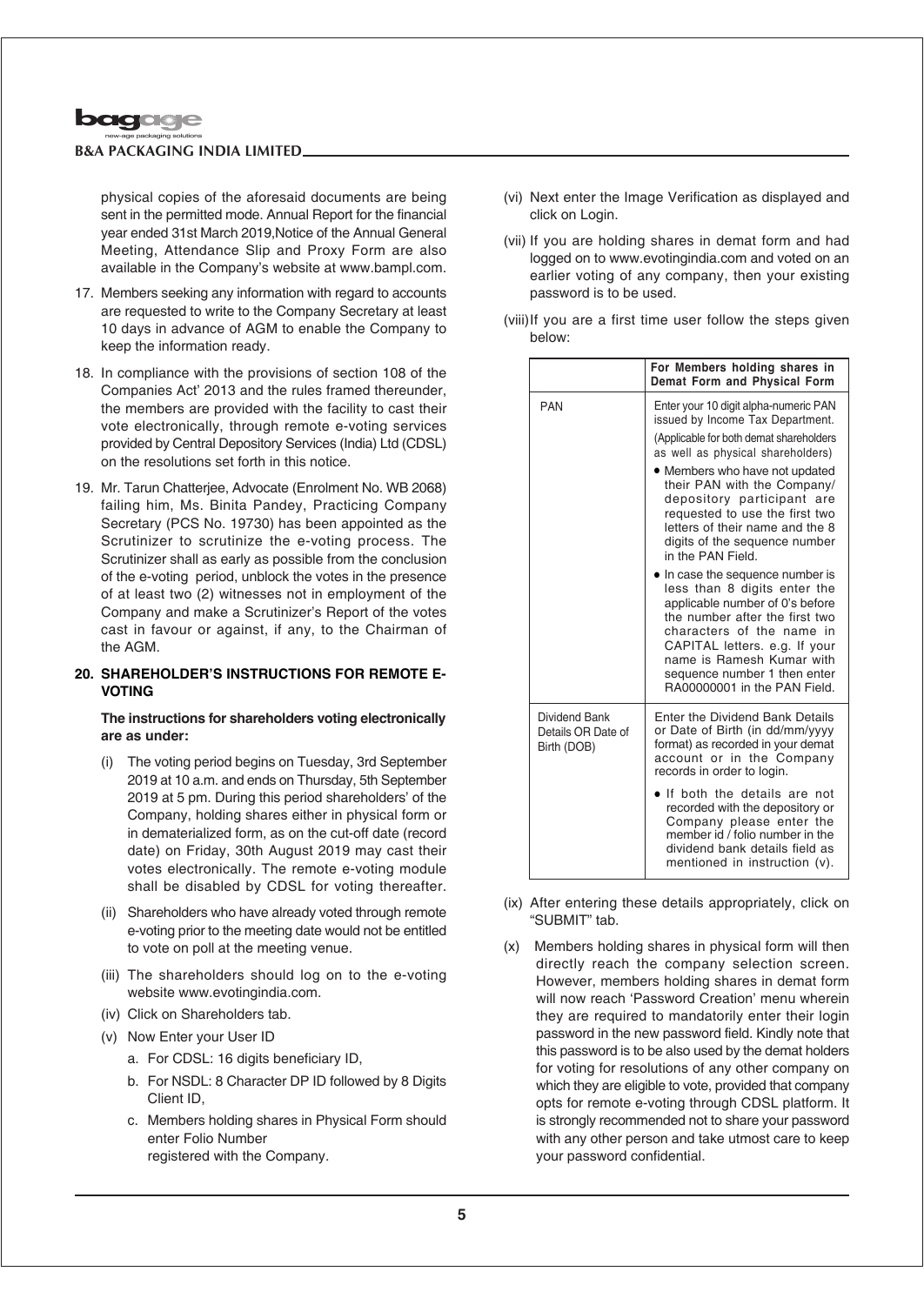

physical copies of the aforesaid documents are being sent in the permitted mode. Annual Report for the financial year ended 31st March 2019,Notice of the Annual General Meeting, Attendance Slip and Proxy Form are also available in the Company's website at www.bampl.com.

- 17. Members seeking any information with regard to accounts are requested to write to the Company Secretary at least 10 days in advance of AGM to enable the Company to keep the information ready.
- 18. In compliance with the provisions of section 108 of the Companies Act' 2013 and the rules framed thereunder, the members are provided with the facility to cast their vote electronically, through remote e-voting services provided by Central Depository Services (India) Ltd (CDSL) on the resolutions set forth in this notice.
- 19. Mr. Tarun Chatterjee, Advocate (Enrolment No. WB 2068) failing him, Ms. Binita Pandey, Practicing Company Secretary (PCS No. 19730) has been appointed as the Scrutinizer to scrutinize the e-voting process. The Scrutinizer shall as early as possible from the conclusion of the e-voting period, unblock the votes in the presence of at least two (2) witnesses not in employment of the Company and make a Scrutinizer's Report of the votes cast in favour or against, if any, to the Chairman of the AGM.

### **20. SHAREHOLDER'S INSTRUCTIONS FOR REMOTE E-VOTING**

### **The instructions for shareholders voting electronically are as under:**

- (i) The voting period begins on Tuesday, 3rd September 2019 at 10 a.m. and ends on Thursday, 5th September 2019 at 5 pm. During this period shareholders' of the Company, holding shares either in physical form or in dematerialized form, as on the cut-off date (record date) on Friday, 30th August 2019 may cast their votes electronically. The remote e-voting module shall be disabled by CDSL for voting thereafter.
- (ii) Shareholders who have already voted through remote e-voting prior to the meeting date would not be entitled to vote on poll at the meeting venue.
- (iii) The shareholders should log on to the e-voting website www.evotingindia.com.
- (iv) Click on Shareholders tab.
- (v) Now Enter your User ID
	- a. For CDSL: 16 digits beneficiary ID,
	- b. For NSDL: 8 Character DP ID followed by 8 Digits Client ID,
	- c. Members holding shares in Physical Form should enter Folio Number registered with the Company.
- (vi) Next enter the Image Verification as displayed and click on Login.
- (vii) If you are holding shares in demat form and had logged on to www.evotingindia.com and voted on an earlier voting of any company, then your existing password is to be used.
- (viii)If you are a first time user follow the steps given below:

|                                                    | For Members holding shares in<br>Demat Form and Physical Form                                                                                                                                                                                                                                  |
|----------------------------------------------------|------------------------------------------------------------------------------------------------------------------------------------------------------------------------------------------------------------------------------------------------------------------------------------------------|
| <b>PAN</b>                                         | Enter your 10 digit alpha-numeric PAN<br>issued by Income Tax Department.                                                                                                                                                                                                                      |
|                                                    | (Applicable for both demat shareholders)<br>as well as physical shareholders)                                                                                                                                                                                                                  |
|                                                    | • Members who have not updated<br>their PAN with the Company/<br>depository participant are<br>requested to use the first two<br>letters of their name and the 8<br>digits of the sequence number<br>in the PAN Field.                                                                         |
|                                                    | In case the sequence number is<br>less than 8 digits enter the<br>applicable number of 0's before<br>the number after the first two<br>characters of the name in<br>CAPITAL letters. e.g. If your<br>name is Ramesh Kumar with<br>sequence number 1 then enter<br>RA00000001 in the PAN Field. |
| Dividend Bank<br>Details OR Date of<br>Birth (DOB) | Enter the Dividend Bank Details<br>or Date of Birth (in dd/mm/yyyy<br>format) as recorded in your demat<br>account or in the Company<br>records in order to login.                                                                                                                             |
|                                                    | If both the details are not<br>recorded with the depository or<br>Company please enter the<br>member id / folio number in the<br>dividend bank details field as<br>mentioned in instruction (v).                                                                                               |

- (ix) After entering these details appropriately, click on "SUBMIT" tab.
- (x) Members holding shares in physical form will then directly reach the company selection screen. However, members holding shares in demat form will now reach 'Password Creation' menu wherein they are required to mandatorily enter their login password in the new password field. Kindly note that this password is to be also used by the demat holders for voting for resolutions of any other company on which they are eligible to vote, provided that company opts for remote e-voting through CDSL platform. It is strongly recommended not to share your password with any other person and take utmost care to keep your password confidential.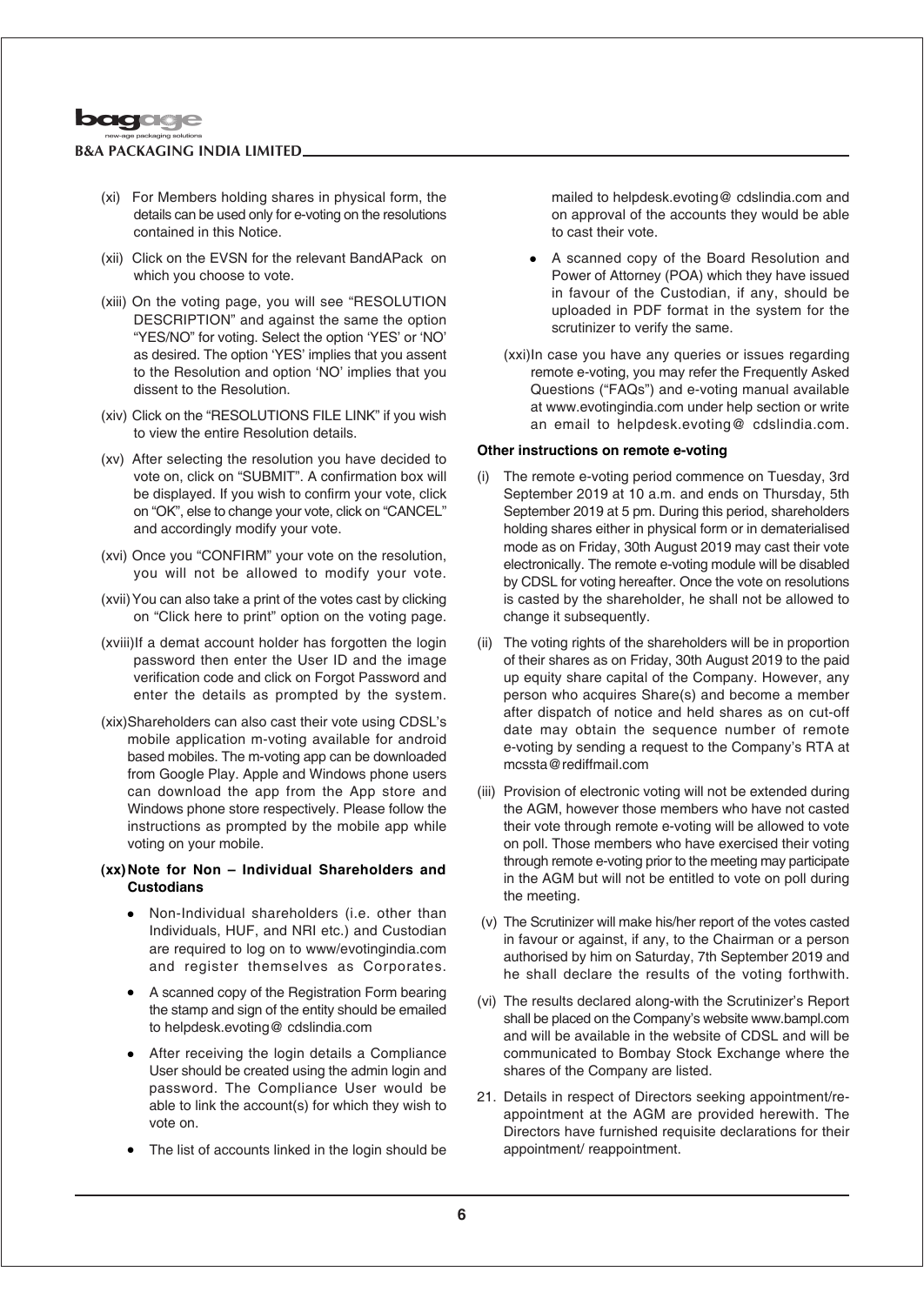

- (xi) For Members holding shares in physical form, the details can be used only for e-voting on the resolutions contained in this Notice.
- (xii) Click on the EVSN for the relevant BandAPack on which you choose to vote.
- (xiii) On the voting page, you will see "RESOLUTION DESCRIPTION" and against the same the option "YES/NO" for voting. Select the option 'YES' or 'NO' as desired. The option 'YES' implies that you assent to the Resolution and option 'NO' implies that you dissent to the Resolution.
- (xiv) Click on the "RESOLUTIONS FILE LINK" if you wish to view the entire Resolution details.
- (xv) After selecting the resolution you have decided to vote on, click on "SUBMIT". A confirmation box will be displayed. If you wish to confirm your vote, click on "OK", else to change your vote, click on "CANCEL" and accordingly modify your vote.
- (xvi) Once you "CONFIRM" your vote on the resolution, you will not be allowed to modify your vote.
- (xvii) You can also take a print of the votes cast by clicking on "Click here to print" option on the voting page.
- (xviii)If a demat account holder has forgotten the login password then enter the User ID and the image verification code and click on Forgot Password and enter the details as prompted by the system.
- (xix)Shareholders can also cast their vote using CDSL's mobile application m-voting available for android based mobiles. The m-voting app can be downloaded from Google Play. Apple and Windows phone users can download the app from the App store and Windows phone store respectively. Please follow the instructions as prompted by the mobile app while voting on your mobile.

### **(xx)Note for Non – Individual Shareholders and Custodians**

- Non-Individual shareholders (i.e. other than Individuals, HUF, and NRI etc.) and Custodian are required to log on to www/evotingindia.com and register themselves as Corporates.
- A scanned copy of the Registration Form bearing the stamp and sign of the entity should be emailed to helpdesk.evoting@ cdslindia.com
- After receiving the login details a Compliance User should be created using the admin login and password. The Compliance User would be able to link the account(s) for which they wish to vote on.
- The list of accounts linked in the login should be

mailed to helpdesk.evoting@ cdslindia.com and on approval of the accounts they would be able to cast their vote.

- <sup>l</sup> A scanned copy of the Board Resolution and Power of Attorney (POA) which they have issued in favour of the Custodian, if any, should be uploaded in PDF format in the system for the scrutinizer to verify the same.
- (xxi)In case you have any queries or issues regarding remote e-voting, you may refer the Frequently Asked Questions ("FAQs") and e-voting manual available at www.evotingindia.com under help section or write an email to helpdesk.evoting@ cdslindia.com.

### **Other instructions on remote e-voting**

- (i) The remote e-voting period commence on Tuesday, 3rd September 2019 at 10 a.m. and ends on Thursday, 5th September 2019 at 5 pm. During this period, shareholders holding shares either in physical form or in dematerialised mode as on Friday, 30th August 2019 may cast their vote electronically. The remote e-voting module will be disabled by CDSL for voting hereafter. Once the vote on resolutions is casted by the shareholder, he shall not be allowed to change it subsequently.
- (ii) The voting rights of the shareholders will be in proportion of their shares as on Friday, 30th August 2019 to the paid up equity share capital of the Company. However, any person who acquires Share(s) and become a member after dispatch of notice and held shares as on cut-off date may obtain the sequence number of remote e-voting by sending a request to the Company's RTA at mcssta@rediffmail.com
- (iii) Provision of electronic voting will not be extended during the AGM, however those members who have not casted their vote through remote e-voting will be allowed to vote on poll. Those members who have exercised their voting through remote e-voting prior to the meeting may participate in the AGM but will not be entitled to vote on poll during the meeting.
- (v) The Scrutinizer will make his/her report of the votes casted in favour or against, if any, to the Chairman or a person authorised by him on Saturday, 7th September 2019 and he shall declare the results of the voting forthwith.
- (vi) The results declared along-with the Scrutinizer's Report shall be placed on the Company's website www.bampl.com and will be available in the website of CDSL and will be communicated to Bombay Stock Exchange where the shares of the Company are listed.
- 21. Details in respect of Directors seeking appointment/reappointment at the AGM are provided herewith. The Directors have furnished requisite declarations for their appointment/ reappointment.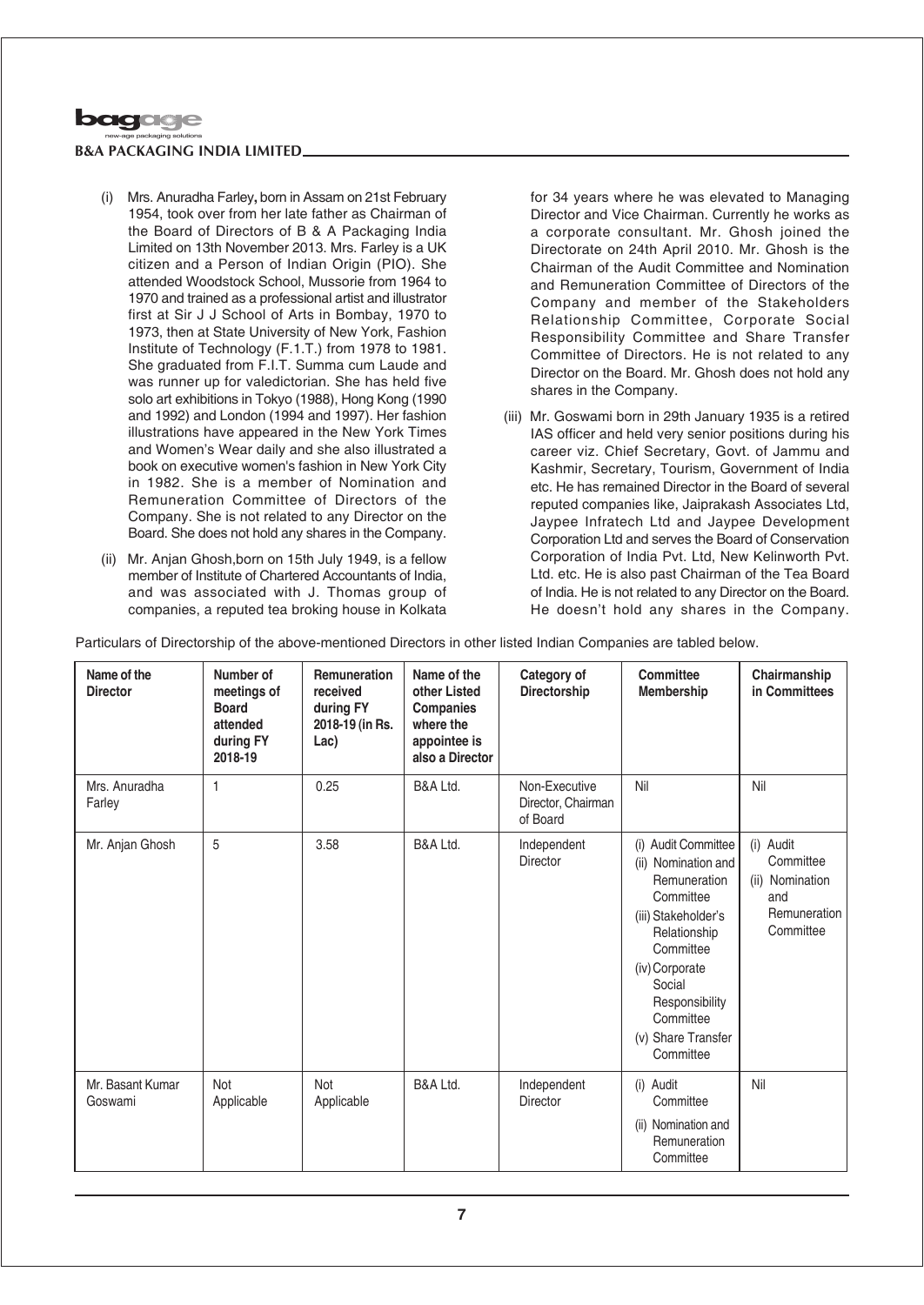

### (i) Mrs. Anuradha Farley**,** born in Assam on 21st February 1954, took over from her late father as Chairman of the Board of Directors of B & A Packaging India Limited on 13th November 2013. Mrs. Farley is a UK citizen and a Person of Indian Origin (PIO). She attended Woodstock School, Mussorie from 1964 to 1970 and trained as a professional artist and illustrator first at Sir J J School of Arts in Bombay, 1970 to 1973, then at State University of New York, Fashion Institute of Technology (F.1.T.) from 1978 to 1981. She graduated from F.I.T. Summa cum Laude and was runner up for valedictorian. She has held five solo art exhibitions in Tokyo (1988), Hong Kong (1990 and 1992) and London (1994 and 1997). Her fashion illustrations have appeared in the New York Times and Women's Wear daily and she also illustrated a book on executive women's fashion in New York City in 1982. She is a member of Nomination and Remuneration Committee of Directors of the Company. She is not related to any Director on the Board. She does not hold any shares in the Company.

(ii) Mr. Anjan Ghosh,born on 15th July 1949, is a fellow member of Institute of Chartered Accountants of India, and was associated with J. Thomas group of companies, a reputed tea broking house in Kolkata for 34 years where he was elevated to Managing Director and Vice Chairman. Currently he works as a corporate consultant. Mr. Ghosh joined the Directorate on 24th April 2010. Mr. Ghosh is the Chairman of the Audit Committee and Nomination and Remuneration Committee of Directors of the Company and member of the Stakeholders Relationship Committee, Corporate Social Responsibility Committee and Share Transfer Committee of Directors. He is not related to any Director on the Board. Mr. Ghosh does not hold any shares in the Company.

(iii) Mr. Goswami born in 29th January 1935 is a retired IAS officer and held very senior positions during his career viz. Chief Secretary, Govt. of Jammu and Kashmir, Secretary, Tourism, Government of India etc. He has remained Director in the Board of several reputed companies like, Jaiprakash Associates Ltd, Jaypee Infratech Ltd and Jaypee Development Corporation Ltd and serves the Board of Conservation Corporation of India Pvt. Ltd, New Kelinworth Pvt. Ltd. etc. He is also past Chairman of the Tea Board of India. He is not related to any Director on the Board. He doesn't hold any shares in the Company.

Particulars of Directorship of the above-mentioned Directors in other listed Indian Companies are tabled below.

| Name of the<br><b>Director</b> | Number of<br>meetings of<br><b>Board</b><br>attended<br>during FY<br>2018-19 | Remuneration<br>received<br>during FY<br>2018-19 (in Rs.<br>Lac) | Name of the<br>other Listed<br><b>Companies</b><br>where the<br>appointee is<br>also a Director | Category of<br><b>Directorship</b>              | Committee<br><b>Membership</b>                                                                                                                                                                                            | Chairmanship<br>in Committees                                                 |
|--------------------------------|------------------------------------------------------------------------------|------------------------------------------------------------------|-------------------------------------------------------------------------------------------------|-------------------------------------------------|---------------------------------------------------------------------------------------------------------------------------------------------------------------------------------------------------------------------------|-------------------------------------------------------------------------------|
| Mrs. Anuradha<br>Farley        | $\mathbf{1}$                                                                 | 0.25                                                             | B&A Ltd.                                                                                        | Non-Executive<br>Director, Chairman<br>of Board | Nil                                                                                                                                                                                                                       | Nil                                                                           |
| Mr. Anjan Ghosh                | 5                                                                            | 3.58                                                             | B&A Ltd.                                                                                        | Independent<br>Director                         | (i) Audit Committee<br>(ii) Nomination and<br>Remuneration<br>Committee<br>(iii) Stakeholder's<br>Relationship<br>Committee<br>(iv) Corporate<br>Social<br>Responsibility<br>Committee<br>(v) Share Transfer<br>Committee | (i) Audit<br>Committee<br>(ii) Nomination<br>and<br>Remuneration<br>Committee |
| Mr. Basant Kumar<br>Goswami    | Not<br>Applicable                                                            | Not<br>Applicable                                                | B&A Ltd.                                                                                        | Independent<br>Director                         | (i) Audit<br>Committee<br>(ii) Nomination and<br>Remuneration<br>Committee                                                                                                                                                | Nil                                                                           |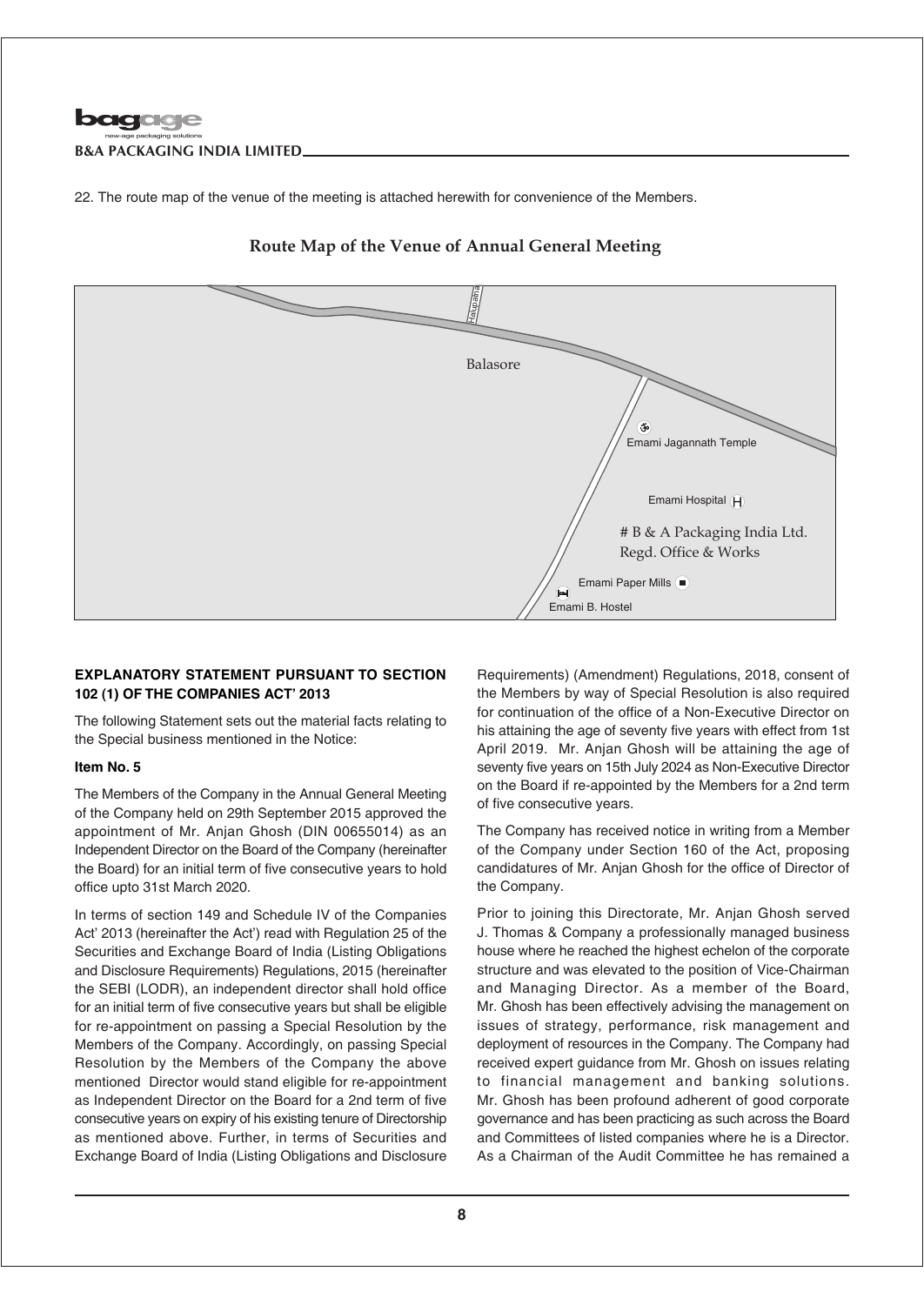

22. The route map of the venue of the meeting is attached herewith for convenience of the Members.



## **Route Map of the Venue of Annual General Meeting**

### **EXPLANATORY STATEMENT PURSUANT TO SECTION 102 (1) OF THE COMPANIES ACT' 2013**

The following Statement sets out the material facts relating to the Special business mentioned in the Notice:

### **Item No. 5**

The Members of the Company in the Annual General Meeting of the Company held on 29th September 2015 approved the appointment of Mr. Anjan Ghosh (DIN 00655014) as an Independent Director on the Board of the Company (hereinafter the Board) for an initial term of five consecutive years to hold office upto 31st March 2020.

In terms of section 149 and Schedule IV of the Companies Act' 2013 (hereinafter the Act') read with Regulation 25 of the Securities and Exchange Board of India (Listing Obligations and Disclosure Requirements) Regulations, 2015 (hereinafter the SEBI (LODR), an independent director shall hold office for an initial term of five consecutive years but shall be eligible for re-appointment on passing a Special Resolution by the Members of the Company. Accordingly, on passing Special Resolution by the Members of the Company the above mentioned Director would stand eligible for re-appointment as Independent Director on the Board for a 2nd term of five consecutive years on expiry of his existing tenure of Directorship as mentioned above. Further, in terms of Securities and Exchange Board of India (Listing Obligations and Disclosure

Requirements) (Amendment) Regulations, 2018, consent of the Members by way of Special Resolution is also required for continuation of the office of a Non-Executive Director on his attaining the age of seventy five years with effect from 1st April 2019. Mr. Anjan Ghosh will be attaining the age of seventy five years on 15th July 2024 as Non-Executive Director on the Board if re-appointed by the Members for a 2nd term of five consecutive years.

The Company has received notice in writing from a Member of the Company under Section 160 of the Act, proposing candidatures of Mr. Anjan Ghosh for the office of Director of the Company.

Prior to joining this Directorate, Mr. Anjan Ghosh served J. Thomas & Company a professionally managed business house where he reached the highest echelon of the corporate structure and was elevated to the position of Vice-Chairman and Managing Director. As a member of the Board, Mr. Ghosh has been effectively advising the management on issues of strategy, performance, risk management and deployment of resources in the Company. The Company had received expert guidance from Mr. Ghosh on issues relating to financial management and banking solutions. Mr. Ghosh has been profound adherent of good corporate governance and has been practicing as such across the Board and Committees of listed companies where he is a Director. As a Chairman of the Audit Committee he has remained a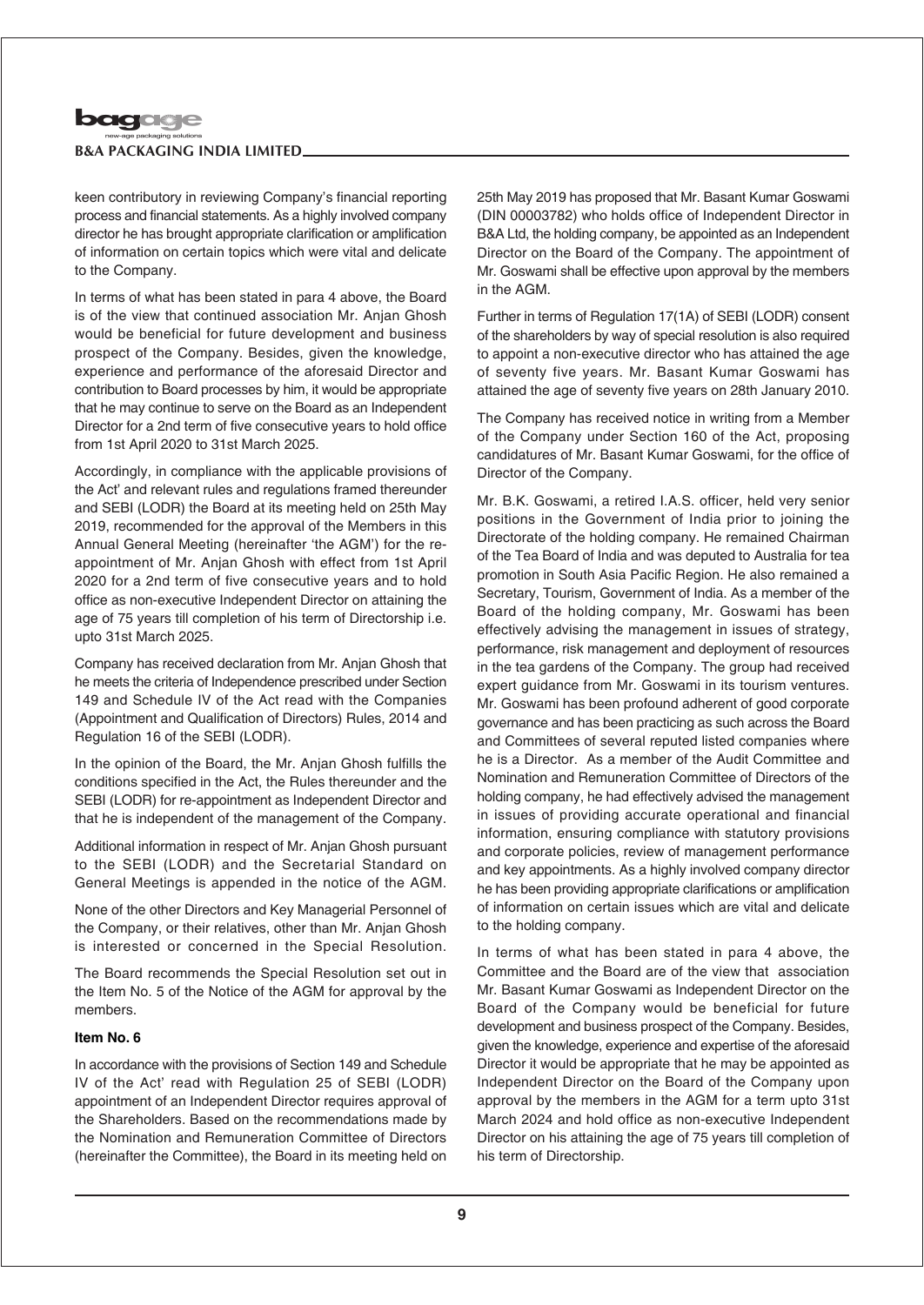

keen contributory in reviewing Company's financial reporting process and financial statements. As a highly involved company director he has brought appropriate clarification or amplification of information on certain topics which were vital and delicate to the Company.

In terms of what has been stated in para 4 above, the Board is of the view that continued association Mr. Anjan Ghosh would be beneficial for future development and business prospect of the Company. Besides, given the knowledge, experience and performance of the aforesaid Director and contribution to Board processes by him, it would be appropriate that he may continue to serve on the Board as an Independent Director for a 2nd term of five consecutive years to hold office from 1st April 2020 to 31st March 2025.

Accordingly, in compliance with the applicable provisions of the Act' and relevant rules and regulations framed thereunder and SEBI (LODR) the Board at its meeting held on 25th May 2019, recommended for the approval of the Members in this Annual General Meeting (hereinafter 'the AGM') for the reappointment of Mr. Anjan Ghosh with effect from 1st April 2020 for a 2nd term of five consecutive years and to hold office as non-executive Independent Director on attaining the age of 75 years till completion of his term of Directorship i.e. upto 31st March 2025.

Company has received declaration from Mr. Anjan Ghosh that he meets the criteria of Independence prescribed under Section 149 and Schedule IV of the Act read with the Companies (Appointment and Qualification of Directors) Rules, 2014 and Regulation 16 of the SEBI (LODR).

In the opinion of the Board, the Mr. Anjan Ghosh fulfills the conditions specified in the Act, the Rules thereunder and the SEBI (LODR) for re-appointment as Independent Director and that he is independent of the management of the Company.

Additional information in respect of Mr. Anjan Ghosh pursuant to the SEBI (LODR) and the Secretarial Standard on General Meetings is appended in the notice of the AGM.

None of the other Directors and Key Managerial Personnel of the Company, or their relatives, other than Mr. Anjan Ghosh is interested or concerned in the Special Resolution.

The Board recommends the Special Resolution set out in the Item No. 5 of the Notice of the AGM for approval by the members.

### **Item No. 6**

In accordance with the provisions of Section 149 and Schedule IV of the Act' read with Regulation 25 of SEBI (LODR) appointment of an Independent Director requires approval of the Shareholders. Based on the recommendations made by the Nomination and Remuneration Committee of Directors (hereinafter the Committee), the Board in its meeting held on

25th May 2019 has proposed that Mr. Basant Kumar Goswami (DIN 00003782) who holds office of Independent Director in B&A Ltd, the holding company, be appointed as an Independent Director on the Board of the Company. The appointment of Mr. Goswami shall be effective upon approval by the members in the AGM.

Further in terms of Regulation 17(1A) of SEBI (LODR) consent of the shareholders by way of special resolution is also required to appoint a non-executive director who has attained the age of seventy five years. Mr. Basant Kumar Goswami has attained the age of seventy five years on 28th January 2010.

The Company has received notice in writing from a Member of the Company under Section 160 of the Act, proposing candidatures of Mr. Basant Kumar Goswami, for the office of Director of the Company.

Mr. B.K. Goswami, a retired I.A.S. officer, held very senior positions in the Government of India prior to joining the Directorate of the holding company. He remained Chairman of the Tea Board of India and was deputed to Australia for tea promotion in South Asia Pacific Region. He also remained a Secretary, Tourism, Government of India. As a member of the Board of the holding company, Mr. Goswami has been effectively advising the management in issues of strategy, performance, risk management and deployment of resources in the tea gardens of the Company. The group had received expert guidance from Mr. Goswami in its tourism ventures. Mr. Goswami has been profound adherent of good corporate governance and has been practicing as such across the Board and Committees of several reputed listed companies where he is a Director. As a member of the Audit Committee and Nomination and Remuneration Committee of Directors of the holding company, he had effectively advised the management in issues of providing accurate operational and financial information, ensuring compliance with statutory provisions and corporate policies, review of management performance and key appointments. As a highly involved company director he has been providing appropriate clarifications or amplification of information on certain issues which are vital and delicate to the holding company.

In terms of what has been stated in para 4 above, the Committee and the Board are of the view that association Mr. Basant Kumar Goswami as Independent Director on the Board of the Company would be beneficial for future development and business prospect of the Company. Besides, given the knowledge, experience and expertise of the aforesaid Director it would be appropriate that he may be appointed as Independent Director on the Board of the Company upon approval by the members in the AGM for a term upto 31st March 2024 and hold office as non-executive Independent Director on his attaining the age of 75 years till completion of his term of Directorship.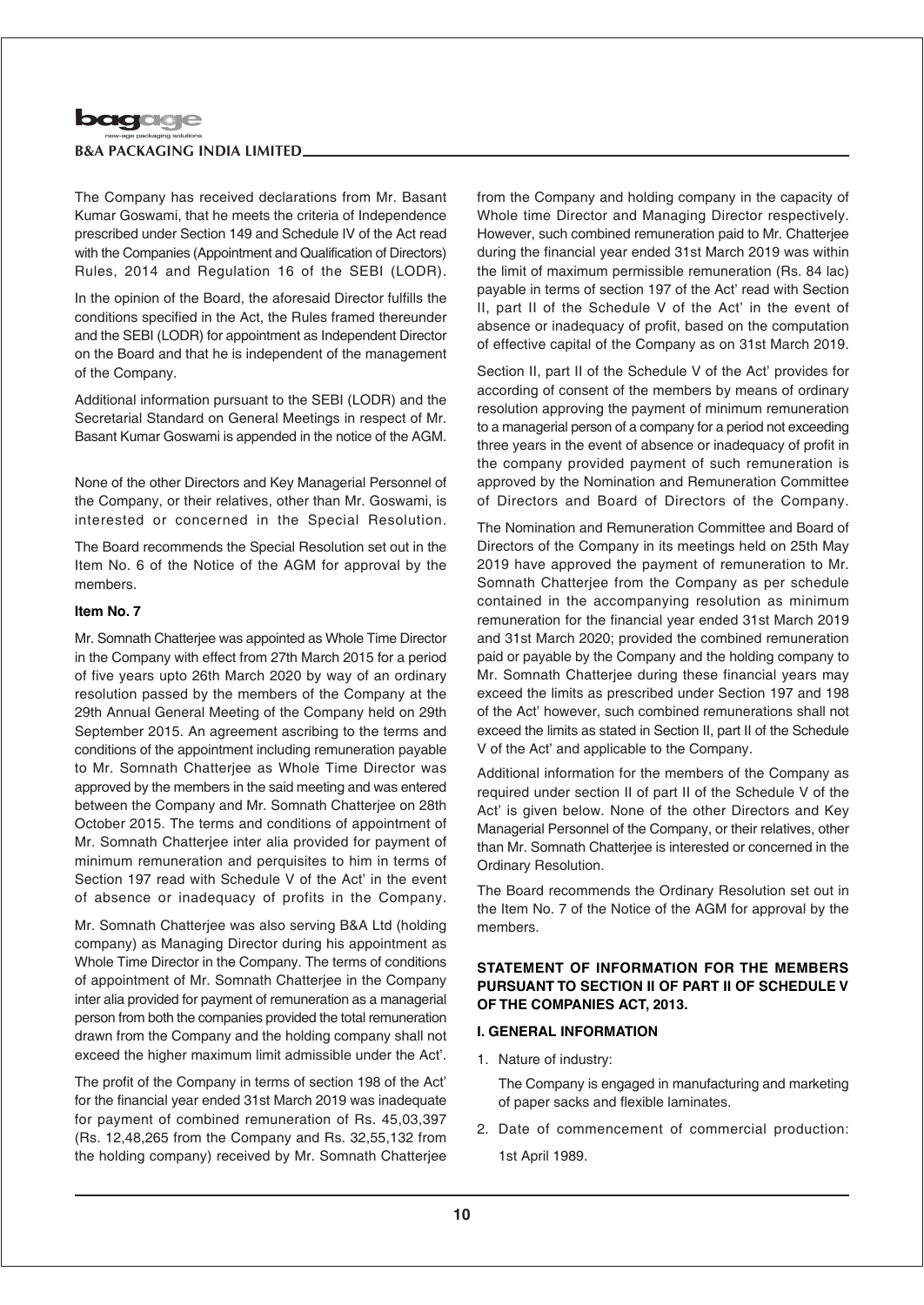

The Company has received declarations from Mr. Basant Kumar Goswami, that he meets the criteria of Independence prescribed under Section 149 and Schedule IV of the Act read with the Companies (Appointment and Qualification of Directors) Rules, 2014 and Regulation 16 of the SEBI (LODR).

In the opinion of the Board, the aforesaid Director fulfills the conditions specified in the Act, the Rules framed thereunder and the SEBI (LODR) for appointment as Independent Director on the Board and that he is independent of the management of the Company.

Additional information pursuant to the SEBI (LODR) and the Secretarial Standard on General Meetings in respect of Mr. Basant Kumar Goswami is appended in the notice of the AGM.

None of the other Directors and Key Managerial Personnel of the Company, or their relatives, other than Mr. Goswami, is interested or concerned in the Special Resolution.

The Board recommends the Special Resolution set out in the Item No. 6 of the Notice of the AGM for approval by the members.

#### **Item No. 7**

Mr. Somnath Chatterjee was appointed as Whole Time Director in the Company with effect from 27th March 2015 for a period of five years upto 26th March 2020 by way of an ordinary resolution passed by the members of the Company at the 29th Annual General Meeting of the Company held on 29th September 2015. An agreement ascribing to the terms and conditions of the appointment including remuneration payable to Mr. Somnath Chatterjee as Whole Time Director was approved by the members in the said meeting and was entered between the Company and Mr. Somnath Chatterjee on 28th October 2015. The terms and conditions of appointment of Mr. Somnath Chatterjee inter alia provided for payment of minimum remuneration and perquisites to him in terms of Section 197 read with Schedule V of the Act' in the event of absence or inadequacy of profits in the Company.

Mr. Somnath Chatterjee was also serving B&A Ltd (holding company) as Managing Director during his appointment as Whole Time Director in the Company. The terms of conditions of appointment of Mr. Somnath Chatterjee in the Company inter alia provided for payment of remuneration as a managerial person from both the companies provided the total remuneration drawn from the Company and the holding company shall not exceed the higher maximum limit admissible under the Act'.

The profit of the Company in terms of section 198 of the Act' for the financial year ended 31st March 2019 was inadequate for payment of combined remuneration of Rs. 45,03,397 (Rs. 12,48,265 from the Company and Rs. 32,55,132 from the holding company) received by Mr. Somnath Chatterjee

from the Company and holding company in the capacity of Whole time Director and Managing Director respectively. However, such combined remuneration paid to Mr. Chatterjee during the financial year ended 31st March 2019 was within the limit of maximum permissible remuneration (Rs. 84 lac) payable in terms of section 197 of the Act' read with Section II, part II of the Schedule V of the Act' in the event of absence or inadequacy of profit, based on the computation of effective capital of the Company as on 31st March 2019.

Section II, part II of the Schedule V of the Act' provides for according of consent of the members by means of ordinary resolution approving the payment of minimum remuneration to a managerial person of a company for a period not exceeding three years in the event of absence or inadequacy of profit in the company provided payment of such remuneration is approved by the Nomination and Remuneration Committee of Directors and Board of Directors of the Company.

The Nomination and Remuneration Committee and Board of Directors of the Company in its meetings held on 25th May 2019 have approved the payment of remuneration to Mr. Somnath Chatterjee from the Company as per schedule contained in the accompanying resolution as minimum remuneration for the financial year ended 31st March 2019 and 31st March 2020; provided the combined remuneration paid or payable by the Company and the holding company to Mr. Somnath Chatterjee during these financial years may exceed the limits as prescribed under Section 197 and 198 of the Act' however, such combined remunerations shall not exceed the limits as stated in Section II, part II of the Schedule V of the Act' and applicable to the Company.

Additional information for the members of the Company as required under section II of part II of the Schedule V of the Act' is given below. None of the other Directors and Key Managerial Personnel of the Company, or their relatives, other than Mr. Somnath Chatterjee is interested or concerned in the Ordinary Resolution.

The Board recommends the Ordinary Resolution set out in the Item No. 7 of the Notice of the AGM for approval by the members.

## **STATEMENT OF INFORMATION FOR THE MEMBERS PURSUANT TO SECTION II OF PART II OF SCHEDULE V OF THE COMPANIES ACT, 2013.**

### **I. GENERAL INFORMATION**

1. Nature of industry:

The Company is engaged in manufacturing and marketing of paper sacks and flexible laminates.

2. Date of commencement of commercial production: 1st April 1989.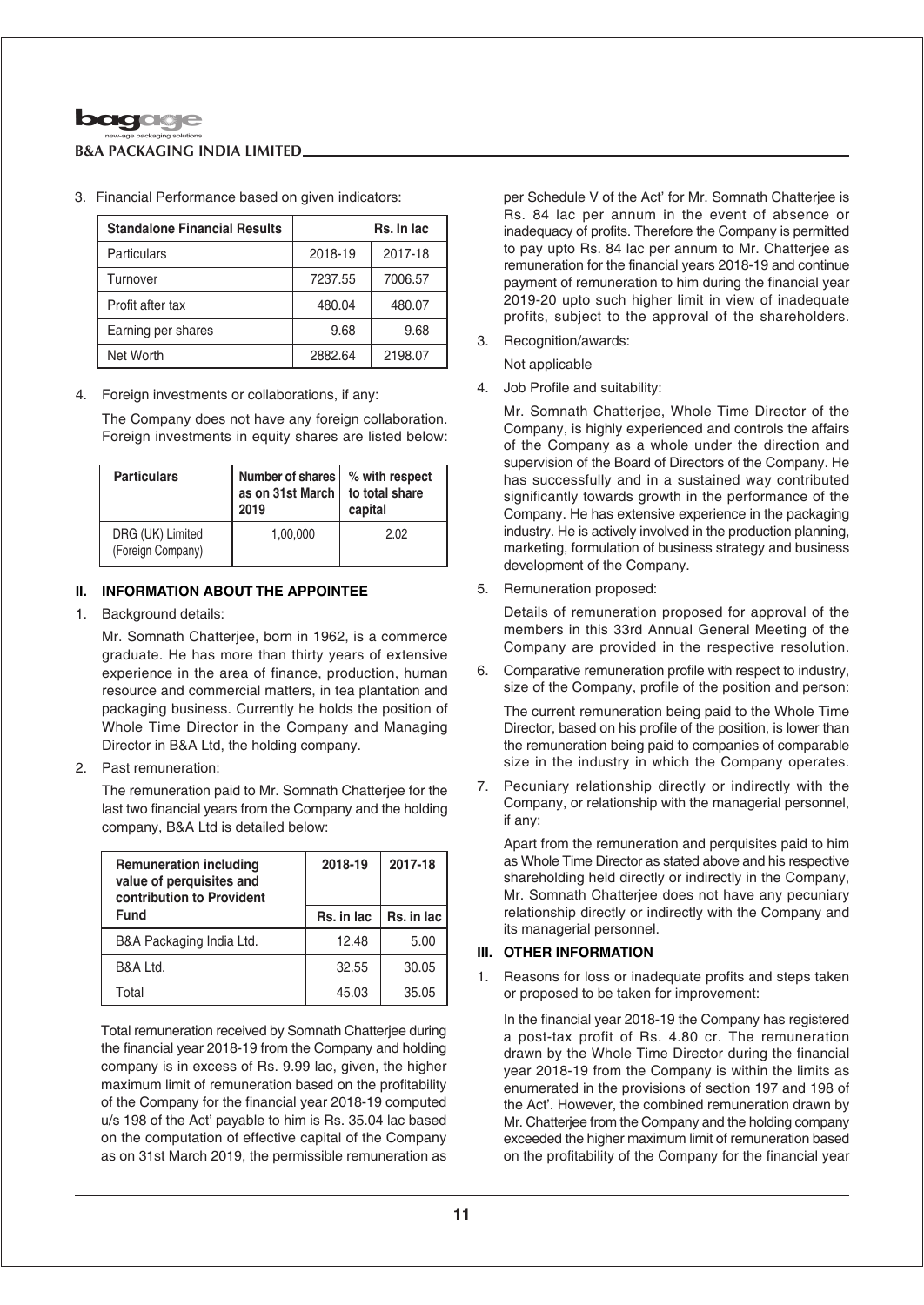

| <b>Standalone Financial Results</b> | Rs. In lac |         |  |  |
|-------------------------------------|------------|---------|--|--|
| Particulars                         | 2018-19    | 2017-18 |  |  |
| Turnover                            | 7237.55    | 7006.57 |  |  |
| Profit after tax                    | 480.04     | 480.07  |  |  |
| Earning per shares                  | 9.68       | 9.68    |  |  |
| Net Worth                           | 2882.64    | 2198.07 |  |  |

3. Financial Performance based on given indicators:

### 4. Foreign investments or collaborations, if any:

The Company does not have any foreign collaboration. Foreign investments in equity shares are listed below:

| <b>Particulars</b>                    | Number of shares<br>as on 31st March<br>2019 | % with respect<br>to total share<br>capital |
|---------------------------------------|----------------------------------------------|---------------------------------------------|
| DRG (UK) Limited<br>(Foreign Company) | 1.00.000                                     | 2.02                                        |

## **II. INFORMATION ABOUT THE APPOINTEE**

1. Background details:

Mr. Somnath Chatterjee, born in 1962, is a commerce graduate. He has more than thirty years of extensive experience in the area of finance, production, human resource and commercial matters, in tea plantation and packaging business. Currently he holds the position of Whole Time Director in the Company and Managing Director in B&A Ltd, the holding company.

2. Past remuneration:

The remuneration paid to Mr. Somnath Chatterjee for the last two financial years from the Company and the holding company, B&A Ltd is detailed below:

| <b>Remuneration including</b><br>value of perquisites and<br>contribution to Provident | 2018-19    | 2017-18    |  |
|----------------------------------------------------------------------------------------|------------|------------|--|
| <b>Fund</b>                                                                            | Rs. in lac | Rs. in lac |  |
| B&A Packaging India Ltd.                                                               | 12.48      | 5.00       |  |
| B&A Ltd.                                                                               | 32.55      | 30.05      |  |
| Total                                                                                  | 45.03      | 35.05      |  |

Total remuneration received by Somnath Chatterjee during the financial year 2018-19 from the Company and holding company is in excess of Rs. 9.99 lac, given, the higher maximum limit of remuneration based on the profitability of the Company for the financial year 2018-19 computed u/s 198 of the Act' payable to him is Rs. 35.04 lac based on the computation of effective capital of the Company as on 31st March 2019, the permissible remuneration as

per Schedule V of the Act' for Mr. Somnath Chatterjee is Rs. 84 lac per annum in the event of absence or inadequacy of profits. Therefore the Company is permitted to pay upto Rs. 84 lac per annum to Mr. Chatterjee as remuneration for the financial years 2018-19 and continue payment of remuneration to him during the financial year 2019-20 upto such higher limit in view of inadequate profits, subject to the approval of the shareholders.

3. Recognition/awards:

Not applicable

4. Job Profile and suitability:

Mr. Somnath Chatterjee, Whole Time Director of the Company, is highly experienced and controls the affairs of the Company as a whole under the direction and supervision of the Board of Directors of the Company. He has successfully and in a sustained way contributed significantly towards growth in the performance of the Company. He has extensive experience in the packaging industry. He is actively involved in the production planning, marketing, formulation of business strategy and business development of the Company.

5. Remuneration proposed:

Details of remuneration proposed for approval of the members in this 33rd Annual General Meeting of the Company are provided in the respective resolution.

6. Comparative remuneration profile with respect to industry, size of the Company, profile of the position and person:

The current remuneration being paid to the Whole Time Director, based on his profile of the position, is lower than the remuneration being paid to companies of comparable size in the industry in which the Company operates.

7. Pecuniary relationship directly or indirectly with the Company, or relationship with the managerial personnel, if any:

Apart from the remuneration and perquisites paid to him as Whole Time Director as stated above and his respective shareholding held directly or indirectly in the Company, Mr. Somnath Chatterjee does not have any pecuniary relationship directly or indirectly with the Company and its managerial personnel.

## **III. OTHER INFORMATION**

1. Reasons for loss or inadequate profits and steps taken or proposed to be taken for improvement:

In the financial year 2018-19 the Company has registered a post-tax profit of Rs. 4.80 cr. The remuneration drawn by the Whole Time Director during the financial year 2018-19 from the Company is within the limits as enumerated in the provisions of section 197 and 198 of the Act'. However, the combined remuneration drawn by Mr. Chatterjee from the Company and the holding company exceeded the higher maximum limit of remuneration based on the profitability of the Company for the financial year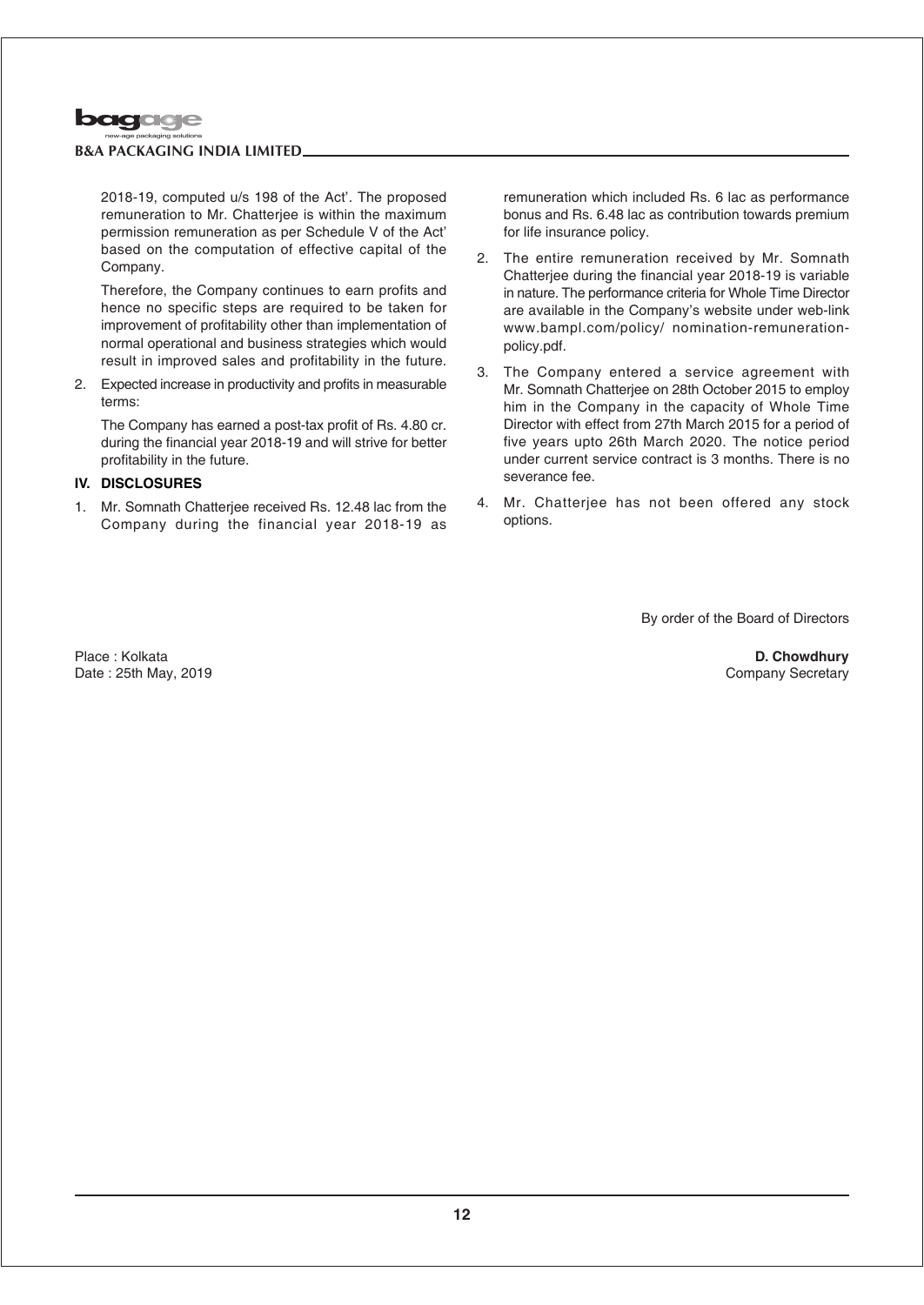

2018-19, computed u/s 198 of the Act'. The proposed remuneration to Mr. Chatteriee is within the maximum permission remuneration as per Schedule V of the Act' based on the computation of effective capital of the Company.

Therefore, the Company continues to earn profits and hence no specific steps are required to be taken for improvement of profitability other than implementation of normal operational and business strategies which would result in improved sales and profitability in the future.

2. Expected increase in productivity and profits in measurable terms:

The Company has earned a post-tax profit of Rs. 4.80 cr. during the financial year 2018-19 and will strive for better profitability in the future.

## **IV. DISCLOSURES**

1. Mr. Somnath Chatterjee received Rs. 12.48 lac from the Company during the financial year 2018-19 as remuneration which included Rs. 6 lac as performance bonus and Rs. 6.48 lac as contribution towards premium for life insurance policy.

- 2. The entire remuneration received by Mr. Somnath Chatterjee during the financial year 2018-19 is variable in nature. The performance criteria for Whole Time Director are available in the Company's website under web-link www.bampl.com/policy/ nomination-remunerationpolicy.pdf.
- 3. The Company entered a service agreement with Mr. Somnath Chatterjee on 28th October 2015 to employ him in the Company in the capacity of Whole Time Director with effect from 27th March 2015 for a period of five years upto 26th March 2020. The notice period under current service contract is 3 months. There is no severance fee.
- 4. Mr. Chatterjee has not been offered any stock options.

By order of the Board of Directors

Place : Kolkata Date : 25th May, 2019

**D. Chowdhury** Company Secretary